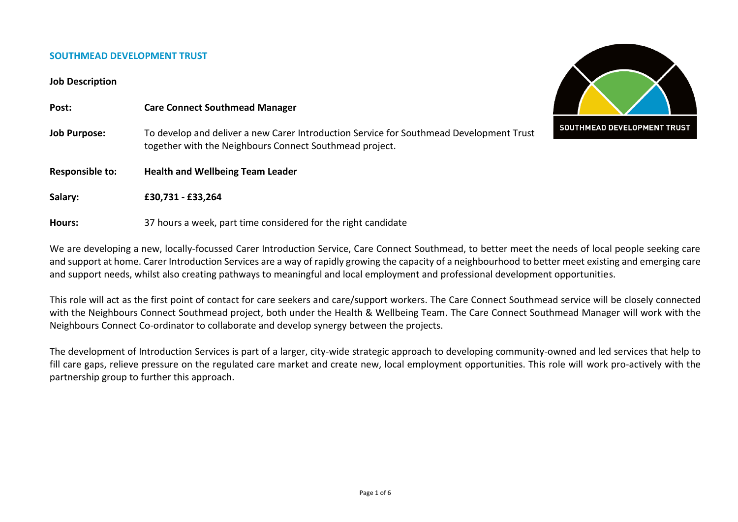#### **SOUTHMEAD DEVELOPMENT TRUST**

#### **Job Description**

| Post:               | <b>Care Connect Southmead Manager</b>                                                                                                              |                             |
|---------------------|----------------------------------------------------------------------------------------------------------------------------------------------------|-----------------------------|
| <b>Job Purpose:</b> | To develop and deliver a new Carer Introduction Service for Southmead Development Trust<br>together with the Neighbours Connect Southmead project. | SOUTHMEAD DEVELOPMENT TRUST |
| Responsible to:     | <b>Health and Wellbeing Team Leader</b>                                                                                                            |                             |
| Salary:             | £30,731 - £33,264                                                                                                                                  |                             |
| Hours:              | 37 hours a week, part time considered for the right candidate                                                                                      |                             |

We are developing a new, locally-focussed Carer Introduction Service, Care Connect Southmead, to better meet the needs of local people seeking care and support at home. Carer Introduction Services are a way of rapidly growing the capacity of a neighbourhood to better meet existing and emerging care and support needs, whilst also creating pathways to meaningful and local employment and professional development opportunities.

This role will act as the first point of contact for care seekers and care/support workers. The Care Connect Southmead service will be closely connected with the Neighbours Connect Southmead project, both under the Health & Wellbeing Team. The Care Connect Southmead Manager will work with the Neighbours Connect Co-ordinator to collaborate and develop synergy between the projects.

The development of Introduction Services is part of a larger, city-wide strategic approach to developing community-owned and led services that help to fill care gaps, relieve pressure on the regulated care market and create new, local employment opportunities. This role will work pro-actively with the partnership group to further this approach.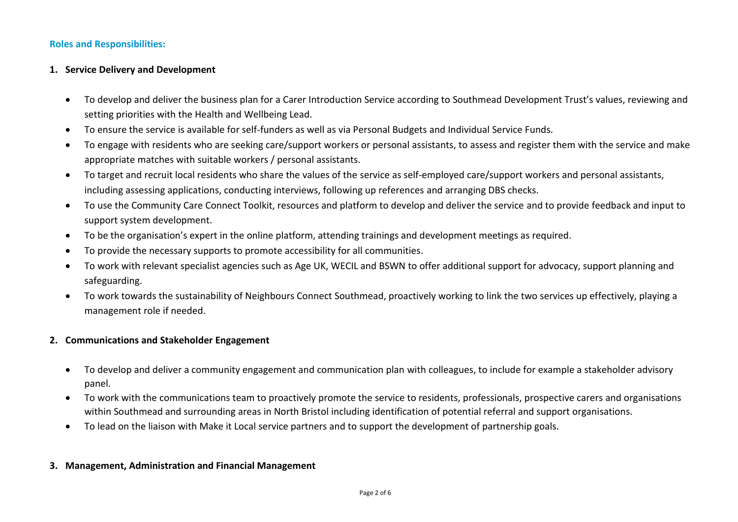## **Roles and Responsibilities:**

## **1. Service Delivery and Development**

- To develop and deliver the business plan for a Carer Introduction Service according to Southmead Development Trust's values, reviewing and setting priorities with the Health and Wellbeing Lead.
- To ensure the service is available for self-funders as well as via Personal Budgets and Individual Service Funds.
- To engage with residents who are seeking care/support workers or personal assistants, to assess and register them with the service and make appropriate matches with suitable workers / personal assistants.
- To target and recruit local residents who share the values of the service as self-employed care/support workers and personal assistants, including assessing applications, conducting interviews, following up references and arranging DBS checks.
- To use the Community Care Connect Toolkit, resources and platform to develop and deliver the service and to provide feedback and input to support system development.
- To be the organisation's expert in the online platform, attending trainings and development meetings as required.
- To provide the necessary supports to promote accessibility for all communities.
- To work with relevant specialist agencies such as Age UK, WECIL and BSWN to offer additional support for advocacy, support planning and safeguarding.
- To work towards the sustainability of Neighbours Connect Southmead, proactively working to link the two services up effectively, playing a management role if needed.

## **2. Communications and Stakeholder Engagement**

- To develop and deliver a community engagement and communication plan with colleagues, to include for example a stakeholder advisory panel.
- To work with the communications team to proactively promote the service to residents, professionals, prospective carers and organisations within Southmead and surrounding areas in North Bristol including identification of potential referral and support organisations.
- To lead on the liaison with Make it Local service partners and to support the development of partnership goals.

## **3. Management, Administration and Financial Management**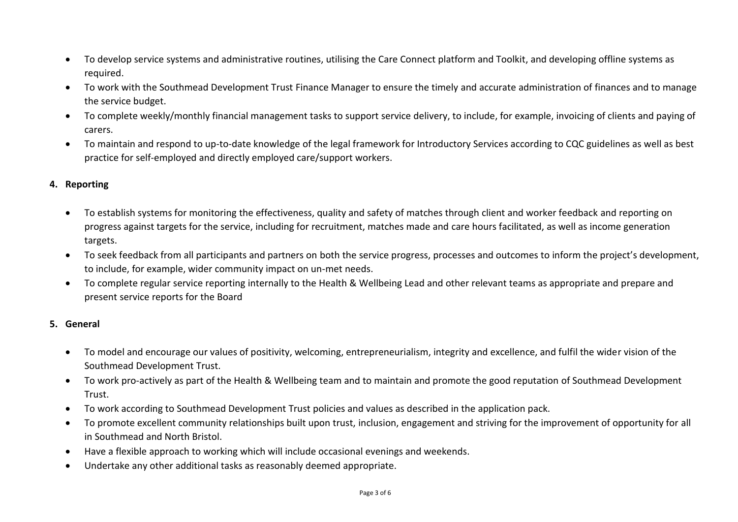- To develop service systems and administrative routines, utilising the Care Connect platform and Toolkit, and developing offline systems as required.
- To work with the Southmead Development Trust Finance Manager to ensure the timely and accurate administration of finances and to manage the service budget.
- To complete weekly/monthly financial management tasks to support service delivery, to include, for example, invoicing of clients and paying of carers.
- To maintain and respond to up-to-date knowledge of the legal framework for Introductory Services according to CQC guidelines as well as best practice for self-employed and directly employed care/support workers.

# **4. Reporting**

- To establish systems for monitoring the effectiveness, quality and safety of matches through client and worker feedback and reporting on progress against targets for the service, including for recruitment, matches made and care hours facilitated, as well as income generation targets.
- To seek feedback from all participants and partners on both the service progress, processes and outcomes to inform the project's development, to include, for example, wider community impact on un-met needs.
- To complete regular service reporting internally to the Health & Wellbeing Lead and other relevant teams as appropriate and prepare and present service reports for the Board

# **5. General**

- To model and encourage our values of positivity, welcoming, entrepreneurialism, integrity and excellence, and fulfil the wider vision of the Southmead Development Trust.
- To work pro-actively as part of the Health & Wellbeing team and to maintain and promote the good reputation of Southmead Development Trust.
- To work according to Southmead Development Trust policies and values as described in the application pack.
- To promote excellent community relationships built upon trust, inclusion, engagement and striving for the improvement of opportunity for all in Southmead and North Bristol.
- Have a flexible approach to working which will include occasional evenings and weekends.
- Undertake any other additional tasks as reasonably deemed appropriate.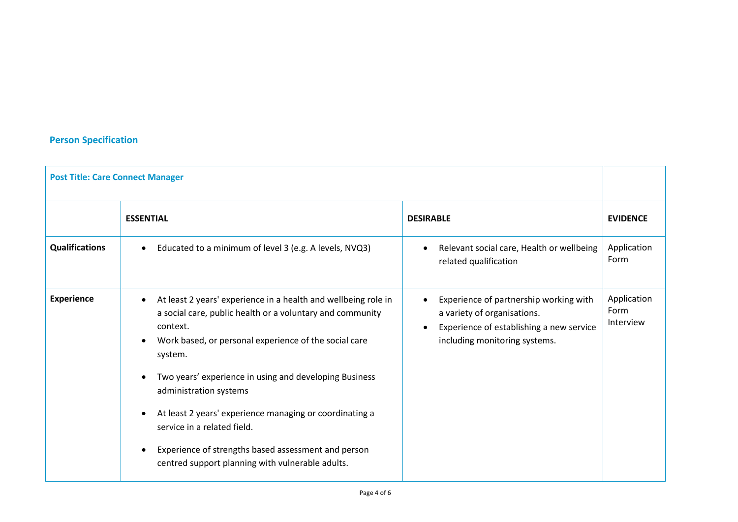# **Person Specification**

| <b>Post Title: Care Connect Manager</b> |                                                                                                                                                                                                                                                                                                                                                                                           |                                                                                                                                                                 |                                  |
|-----------------------------------------|-------------------------------------------------------------------------------------------------------------------------------------------------------------------------------------------------------------------------------------------------------------------------------------------------------------------------------------------------------------------------------------------|-----------------------------------------------------------------------------------------------------------------------------------------------------------------|----------------------------------|
|                                         | <b>ESSENTIAL</b>                                                                                                                                                                                                                                                                                                                                                                          | <b>DESIRABLE</b>                                                                                                                                                | <b>EVIDENCE</b>                  |
| <b>Qualifications</b>                   | Educated to a minimum of level 3 (e.g. A levels, NVQ3)<br>$\bullet$                                                                                                                                                                                                                                                                                                                       | Relevant social care, Health or wellbeing<br>related qualification                                                                                              | Application<br>Form              |
| <b>Experience</b>                       | At least 2 years' experience in a health and wellbeing role in<br>a social care, public health or a voluntary and community<br>context.<br>Work based, or personal experience of the social care<br>system.<br>Two years' experience in using and developing Business<br>administration systems<br>At least 2 years' experience managing or coordinating a<br>service in a related field. | Experience of partnership working with<br>$\bullet$<br>a variety of organisations.<br>Experience of establishing a new service<br>including monitoring systems. | Application<br>Form<br>Interview |
|                                         | Experience of strengths based assessment and person<br>centred support planning with vulnerable adults.                                                                                                                                                                                                                                                                                   |                                                                                                                                                                 |                                  |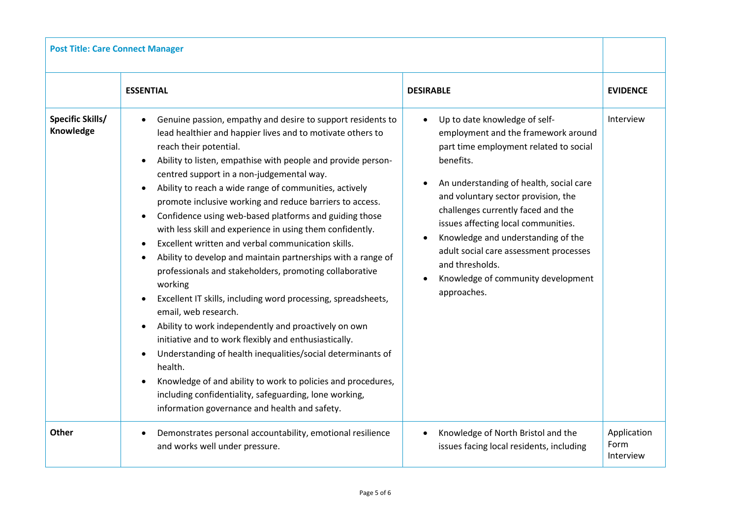| <b>Post Title: Care Connect Manager</b> |                                                                                                                                                                                                                                                                                                                                                                                                                                                                                                                                                                                                                                                                                                                                                                                                                                                                                                                                                                                                                                                                                                                                                                          |                                                                                                                                                                                                                                                                                                                                                                                                                                                    |                                  |
|-----------------------------------------|--------------------------------------------------------------------------------------------------------------------------------------------------------------------------------------------------------------------------------------------------------------------------------------------------------------------------------------------------------------------------------------------------------------------------------------------------------------------------------------------------------------------------------------------------------------------------------------------------------------------------------------------------------------------------------------------------------------------------------------------------------------------------------------------------------------------------------------------------------------------------------------------------------------------------------------------------------------------------------------------------------------------------------------------------------------------------------------------------------------------------------------------------------------------------|----------------------------------------------------------------------------------------------------------------------------------------------------------------------------------------------------------------------------------------------------------------------------------------------------------------------------------------------------------------------------------------------------------------------------------------------------|----------------------------------|
|                                         | <b>ESSENTIAL</b>                                                                                                                                                                                                                                                                                                                                                                                                                                                                                                                                                                                                                                                                                                                                                                                                                                                                                                                                                                                                                                                                                                                                                         | <b>DESIRABLE</b>                                                                                                                                                                                                                                                                                                                                                                                                                                   | <b>EVIDENCE</b>                  |
| <b>Specific Skills/</b><br>Knowledge    | Genuine passion, empathy and desire to support residents to<br>lead healthier and happier lives and to motivate others to<br>reach their potential.<br>Ability to listen, empathise with people and provide person-<br>centred support in a non-judgemental way.<br>Ability to reach a wide range of communities, actively<br>promote inclusive working and reduce barriers to access.<br>Confidence using web-based platforms and guiding those<br>with less skill and experience in using them confidently.<br>Excellent written and verbal communication skills.<br>Ability to develop and maintain partnerships with a range of<br>professionals and stakeholders, promoting collaborative<br>working<br>Excellent IT skills, including word processing, spreadsheets,<br>email, web research.<br>Ability to work independently and proactively on own<br>initiative and to work flexibly and enthusiastically.<br>Understanding of health inequalities/social determinants of<br>health.<br>Knowledge of and ability to work to policies and procedures,<br>including confidentiality, safeguarding, lone working,<br>information governance and health and safety. | Up to date knowledge of self-<br>employment and the framework around<br>part time employment related to social<br>benefits.<br>An understanding of health, social care<br>and voluntary sector provision, the<br>challenges currently faced and the<br>issues affecting local communities.<br>Knowledge and understanding of the<br>adult social care assessment processes<br>and thresholds.<br>Knowledge of community development<br>approaches. | Interview                        |
| <b>Other</b>                            | Demonstrates personal accountability, emotional resilience<br>and works well under pressure.                                                                                                                                                                                                                                                                                                                                                                                                                                                                                                                                                                                                                                                                                                                                                                                                                                                                                                                                                                                                                                                                             | Knowledge of North Bristol and the<br>issues facing local residents, including                                                                                                                                                                                                                                                                                                                                                                     | Application<br>Form<br>Interview |